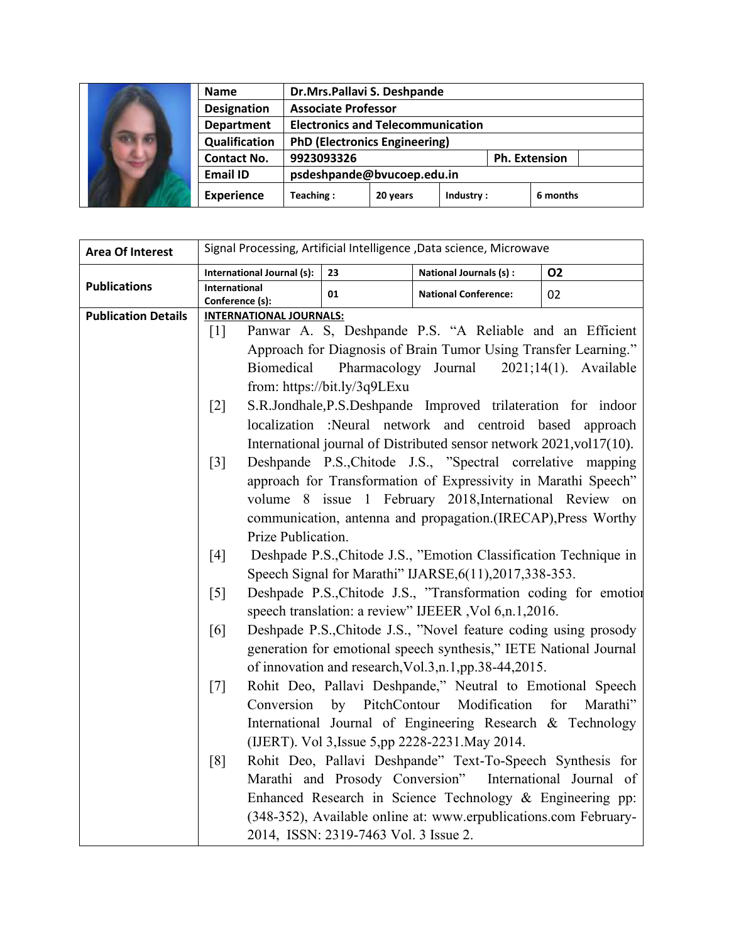|  | <b>Name</b>        | Dr.Mrs.Pallavi S. Deshpande              |          |           |  |                      |
|--|--------------------|------------------------------------------|----------|-----------|--|----------------------|
|  | <b>Designation</b> | <b>Associate Professor</b>               |          |           |  |                      |
|  | <b>Department</b>  | <b>Electronics and Telecommunication</b> |          |           |  |                      |
|  | Qualification      | <b>PhD (Electronics Engineering)</b>     |          |           |  |                      |
|  | <b>Contact No.</b> | 9923093326                               |          |           |  | <b>Ph. Extension</b> |
|  | <b>Email ID</b>    | psdeshpande@bvucoep.edu.in               |          |           |  |                      |
|  | <b>Experience</b>  | Teaching:                                | 20 years | Industry: |  | 6 months             |

| <b>Area Of Interest</b>    | Signal Processing, Artificial Intelligence, Data science, Microwave        |                                                                        |                                                                  |              |  |
|----------------------------|----------------------------------------------------------------------------|------------------------------------------------------------------------|------------------------------------------------------------------|--------------|--|
|                            | International Journal (s):                                                 | 23                                                                     | National Journals (s) :                                          | <b>O2</b>    |  |
| <b>Publications</b>        | International                                                              | 01                                                                     | <b>National Conference:</b>                                      | 02           |  |
| <b>Publication Details</b> | Conference (s):<br><b>INTERNATIONAL JOURNALS:</b>                          |                                                                        |                                                                  |              |  |
|                            | $\lceil 1 \rceil$                                                          |                                                                        | Panwar A. S, Deshpande P.S. "A Reliable and an Efficient         |              |  |
|                            |                                                                            |                                                                        | Approach for Diagnosis of Brain Tumor Using Transfer Learning."  |              |  |
|                            | Pharmacology Journal<br><b>Biomedical</b><br>$2021;14(1)$ . Available      |                                                                        |                                                                  |              |  |
|                            | from: https://bit.ly/3q9LExu                                               |                                                                        |                                                                  |              |  |
|                            |                                                                            | S.R.Jondhale, P.S.Deshpande Improved trilateration for indoor<br>$[2]$ |                                                                  |              |  |
|                            | localization :Neural network and centroid based approach                   |                                                                        |                                                                  |              |  |
|                            | International journal of Distributed sensor network 2021, vol17(10).       |                                                                        |                                                                  |              |  |
|                            | Deshpande P.S., Chitode J.S., "Spectral correlative mapping<br>$[3]$       |                                                                        |                                                                  |              |  |
|                            | approach for Transformation of Expressivity in Marathi Speech"             |                                                                        |                                                                  |              |  |
|                            | volume 8 issue 1 February 2018, International Review on                    |                                                                        |                                                                  |              |  |
|                            | communication, antenna and propagation.(IRECAP), Press Worthy              |                                                                        |                                                                  |              |  |
|                            | Prize Publication.                                                         |                                                                        |                                                                  |              |  |
|                            | Deshpade P.S., Chitode J.S., "Emotion Classification Technique in<br>$[4]$ |                                                                        |                                                                  |              |  |
|                            |                                                                            | Speech Signal for Marathi" IJARSE, 6(11), 2017, 338-353.               |                                                                  |              |  |
|                            | $\lceil 5 \rceil$                                                          | Deshpade P.S., Chitode J.S., "Transformation coding for emotion        |                                                                  |              |  |
|                            |                                                                            |                                                                        | speech translation: a review" IJEEER, Vol 6, n.1, 2016.          |              |  |
|                            | Deshpade P.S., Chitode J.S., "Novel feature coding using prosody<br>[6]    |                                                                        |                                                                  |              |  |
|                            |                                                                            | generation for emotional speech synthesis," IETE National Journal      |                                                                  |              |  |
|                            |                                                                            |                                                                        | of innovation and research, Vol.3, n.1, pp. 38-44, 2015.         |              |  |
|                            | $[7]$                                                                      |                                                                        | Rohit Deo, Pallavi Deshpande," Neutral to Emotional Speech       |              |  |
|                            | Conversion                                                                 | by PitchContour                                                        | Modification                                                     | for Marathi" |  |
|                            |                                                                            |                                                                        | International Journal of Engineering Research & Technology       |              |  |
|                            |                                                                            |                                                                        | (IJERT). Vol 3, Issue 5, pp 2228-2231. May 2014.                 |              |  |
|                            | [8]                                                                        |                                                                        | Rohit Deo, Pallavi Deshpande" Text-To-Speech Synthesis for       |              |  |
|                            |                                                                            |                                                                        | Marathi and Prosody Conversion" International Journal of         |              |  |
|                            |                                                                            |                                                                        | Enhanced Research in Science Technology $\&$ Engineering pp:     |              |  |
|                            |                                                                            |                                                                        | (348-352), Available online at: www.erpublications.com February- |              |  |
|                            |                                                                            | 2014, ISSN: 2319-7463 Vol. 3 Issue 2.                                  |                                                                  |              |  |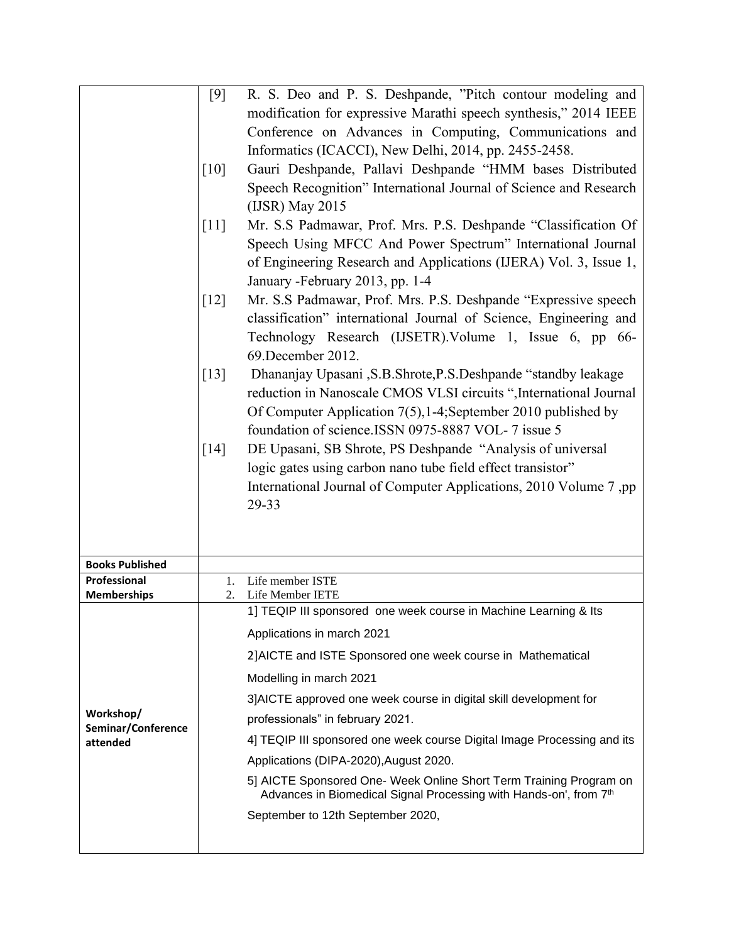| R. S. Deo and P. S. Deshpande, "Pitch contour modeling and<br>[9]<br>modification for expressive Marathi speech synthesis," 2014 IEEE<br>Conference on Advances in Computing, Communications and<br>Informatics (ICACCI), New Delhi, 2014, pp. 2455-2458.<br>Gauri Deshpande, Pallavi Deshpande "HMM bases Distributed<br>$\lceil 10 \rceil$<br>Speech Recognition" International Journal of Science and Research<br>(IJSR) May 2015<br>[11]<br>Mr. S.S Padmawar, Prof. Mrs. P.S. Deshpande "Classification Of<br>Speech Using MFCC And Power Spectrum" International Journal<br>of Engineering Research and Applications (IJERA) Vol. 3, Issue 1,<br>January - February 2013, pp. 1-4<br>Mr. S.S Padmawar, Prof. Mrs. P.S. Deshpande "Expressive speech<br>$\lceil 12 \rceil$<br>classification" international Journal of Science, Engineering and<br>Technology Research (IJSETR). Volume 1, Issue 6, pp 66-<br>69. December 2012.<br>Dhananjay Upasani , S.B. Shrote, P.S. Deshpande "standby leakage<br>$[13]$<br>reduction in Nanoscale CMOS VLSI circuits ", International Journal<br>Of Computer Application 7(5), 1-4; September 2010 published by |
|------------------------------------------------------------------------------------------------------------------------------------------------------------------------------------------------------------------------------------------------------------------------------------------------------------------------------------------------------------------------------------------------------------------------------------------------------------------------------------------------------------------------------------------------------------------------------------------------------------------------------------------------------------------------------------------------------------------------------------------------------------------------------------------------------------------------------------------------------------------------------------------------------------------------------------------------------------------------------------------------------------------------------------------------------------------------------------------------------------------------------------------------------------|
|                                                                                                                                                                                                                                                                                                                                                                                                                                                                                                                                                                                                                                                                                                                                                                                                                                                                                                                                                                                                                                                                                                                                                            |
|                                                                                                                                                                                                                                                                                                                                                                                                                                                                                                                                                                                                                                                                                                                                                                                                                                                                                                                                                                                                                                                                                                                                                            |
|                                                                                                                                                                                                                                                                                                                                                                                                                                                                                                                                                                                                                                                                                                                                                                                                                                                                                                                                                                                                                                                                                                                                                            |
|                                                                                                                                                                                                                                                                                                                                                                                                                                                                                                                                                                                                                                                                                                                                                                                                                                                                                                                                                                                                                                                                                                                                                            |
|                                                                                                                                                                                                                                                                                                                                                                                                                                                                                                                                                                                                                                                                                                                                                                                                                                                                                                                                                                                                                                                                                                                                                            |
|                                                                                                                                                                                                                                                                                                                                                                                                                                                                                                                                                                                                                                                                                                                                                                                                                                                                                                                                                                                                                                                                                                                                                            |
|                                                                                                                                                                                                                                                                                                                                                                                                                                                                                                                                                                                                                                                                                                                                                                                                                                                                                                                                                                                                                                                                                                                                                            |
|                                                                                                                                                                                                                                                                                                                                                                                                                                                                                                                                                                                                                                                                                                                                                                                                                                                                                                                                                                                                                                                                                                                                                            |
|                                                                                                                                                                                                                                                                                                                                                                                                                                                                                                                                                                                                                                                                                                                                                                                                                                                                                                                                                                                                                                                                                                                                                            |
|                                                                                                                                                                                                                                                                                                                                                                                                                                                                                                                                                                                                                                                                                                                                                                                                                                                                                                                                                                                                                                                                                                                                                            |
|                                                                                                                                                                                                                                                                                                                                                                                                                                                                                                                                                                                                                                                                                                                                                                                                                                                                                                                                                                                                                                                                                                                                                            |
|                                                                                                                                                                                                                                                                                                                                                                                                                                                                                                                                                                                                                                                                                                                                                                                                                                                                                                                                                                                                                                                                                                                                                            |
|                                                                                                                                                                                                                                                                                                                                                                                                                                                                                                                                                                                                                                                                                                                                                                                                                                                                                                                                                                                                                                                                                                                                                            |
|                                                                                                                                                                                                                                                                                                                                                                                                                                                                                                                                                                                                                                                                                                                                                                                                                                                                                                                                                                                                                                                                                                                                                            |
|                                                                                                                                                                                                                                                                                                                                                                                                                                                                                                                                                                                                                                                                                                                                                                                                                                                                                                                                                                                                                                                                                                                                                            |
|                                                                                                                                                                                                                                                                                                                                                                                                                                                                                                                                                                                                                                                                                                                                                                                                                                                                                                                                                                                                                                                                                                                                                            |
|                                                                                                                                                                                                                                                                                                                                                                                                                                                                                                                                                                                                                                                                                                                                                                                                                                                                                                                                                                                                                                                                                                                                                            |
| foundation of science.ISSN 0975-8887 VOL-7 issue 5                                                                                                                                                                                                                                                                                                                                                                                                                                                                                                                                                                                                                                                                                                                                                                                                                                                                                                                                                                                                                                                                                                         |
| DE Upasani, SB Shrote, PS Deshpande "Analysis of universal<br>$\lceil 14 \rceil$                                                                                                                                                                                                                                                                                                                                                                                                                                                                                                                                                                                                                                                                                                                                                                                                                                                                                                                                                                                                                                                                           |
| logic gates using carbon nano tube field effect transistor"                                                                                                                                                                                                                                                                                                                                                                                                                                                                                                                                                                                                                                                                                                                                                                                                                                                                                                                                                                                                                                                                                                |
| International Journal of Computer Applications, 2010 Volume 7, pp                                                                                                                                                                                                                                                                                                                                                                                                                                                                                                                                                                                                                                                                                                                                                                                                                                                                                                                                                                                                                                                                                          |
| 29-33                                                                                                                                                                                                                                                                                                                                                                                                                                                                                                                                                                                                                                                                                                                                                                                                                                                                                                                                                                                                                                                                                                                                                      |
|                                                                                                                                                                                                                                                                                                                                                                                                                                                                                                                                                                                                                                                                                                                                                                                                                                                                                                                                                                                                                                                                                                                                                            |
|                                                                                                                                                                                                                                                                                                                                                                                                                                                                                                                                                                                                                                                                                                                                                                                                                                                                                                                                                                                                                                                                                                                                                            |
| <b>Books Published</b>                                                                                                                                                                                                                                                                                                                                                                                                                                                                                                                                                                                                                                                                                                                                                                                                                                                                                                                                                                                                                                                                                                                                     |
| Professional<br>Life member ISTE<br>1.                                                                                                                                                                                                                                                                                                                                                                                                                                                                                                                                                                                                                                                                                                                                                                                                                                                                                                                                                                                                                                                                                                                     |
| 2.<br>Life Member IETE<br><b>Memberships</b>                                                                                                                                                                                                                                                                                                                                                                                                                                                                                                                                                                                                                                                                                                                                                                                                                                                                                                                                                                                                                                                                                                               |
| 1] TEQIP III sponsored one week course in Machine Learning & Its                                                                                                                                                                                                                                                                                                                                                                                                                                                                                                                                                                                                                                                                                                                                                                                                                                                                                                                                                                                                                                                                                           |
| Applications in march 2021                                                                                                                                                                                                                                                                                                                                                                                                                                                                                                                                                                                                                                                                                                                                                                                                                                                                                                                                                                                                                                                                                                                                 |
| 2] AICTE and ISTE Sponsored one week course in Mathematical                                                                                                                                                                                                                                                                                                                                                                                                                                                                                                                                                                                                                                                                                                                                                                                                                                                                                                                                                                                                                                                                                                |
| Modelling in march 2021                                                                                                                                                                                                                                                                                                                                                                                                                                                                                                                                                                                                                                                                                                                                                                                                                                                                                                                                                                                                                                                                                                                                    |
| 3] AICTE approved one week course in digital skill development for                                                                                                                                                                                                                                                                                                                                                                                                                                                                                                                                                                                                                                                                                                                                                                                                                                                                                                                                                                                                                                                                                         |
| Workshop/<br>professionals" in february 2021.<br>Seminar/Conference                                                                                                                                                                                                                                                                                                                                                                                                                                                                                                                                                                                                                                                                                                                                                                                                                                                                                                                                                                                                                                                                                        |
| 4] TEQIP III sponsored one week course Digital Image Processing and its<br>attended                                                                                                                                                                                                                                                                                                                                                                                                                                                                                                                                                                                                                                                                                                                                                                                                                                                                                                                                                                                                                                                                        |
| Applications (DIPA-2020), August 2020.                                                                                                                                                                                                                                                                                                                                                                                                                                                                                                                                                                                                                                                                                                                                                                                                                                                                                                                                                                                                                                                                                                                     |
| 5] AICTE Sponsored One- Week Online Short Term Training Program on                                                                                                                                                                                                                                                                                                                                                                                                                                                                                                                                                                                                                                                                                                                                                                                                                                                                                                                                                                                                                                                                                         |
| Advances in Biomedical Signal Processing with Hands-on', from 7th                                                                                                                                                                                                                                                                                                                                                                                                                                                                                                                                                                                                                                                                                                                                                                                                                                                                                                                                                                                                                                                                                          |
| September to 12th September 2020,                                                                                                                                                                                                                                                                                                                                                                                                                                                                                                                                                                                                                                                                                                                                                                                                                                                                                                                                                                                                                                                                                                                          |
|                                                                                                                                                                                                                                                                                                                                                                                                                                                                                                                                                                                                                                                                                                                                                                                                                                                                                                                                                                                                                                                                                                                                                            |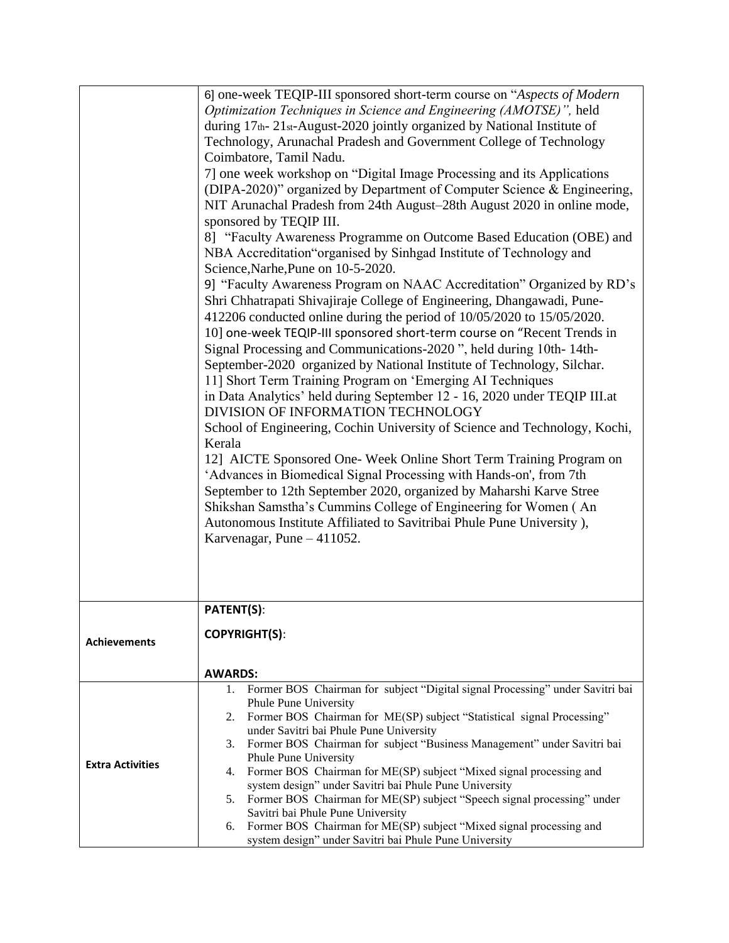|                         | 6] one-week TEQIP-III sponsored short-term course on "Aspects of Modern                                                                                                                                                                                                                                                       |  |  |  |  |  |
|-------------------------|-------------------------------------------------------------------------------------------------------------------------------------------------------------------------------------------------------------------------------------------------------------------------------------------------------------------------------|--|--|--|--|--|
|                         | Optimization Techniques in Science and Engineering (AMOTSE)", held                                                                                                                                                                                                                                                            |  |  |  |  |  |
|                         | during 17th-21st-August-2020 jointly organized by National Institute of<br>Technology, Arunachal Pradesh and Government College of Technology<br>Coimbatore, Tamil Nadu.<br>7] one week workshop on "Digital Image Processing and its Applications<br>(DIPA-2020)" organized by Department of Computer Science & Engineering, |  |  |  |  |  |
|                         |                                                                                                                                                                                                                                                                                                                               |  |  |  |  |  |
|                         |                                                                                                                                                                                                                                                                                                                               |  |  |  |  |  |
|                         |                                                                                                                                                                                                                                                                                                                               |  |  |  |  |  |
|                         |                                                                                                                                                                                                                                                                                                                               |  |  |  |  |  |
|                         |                                                                                                                                                                                                                                                                                                                               |  |  |  |  |  |
|                         | NIT Arunachal Pradesh from 24th August-28th August 2020 in online mode,                                                                                                                                                                                                                                                       |  |  |  |  |  |
|                         | sponsored by TEQIP III.                                                                                                                                                                                                                                                                                                       |  |  |  |  |  |
|                         | 8] "Faculty Awareness Programme on Outcome Based Education (OBE) and                                                                                                                                                                                                                                                          |  |  |  |  |  |
|                         | NBA Accreditation "organised by Sinhgad Institute of Technology and                                                                                                                                                                                                                                                           |  |  |  |  |  |
|                         | Science, Narhe, Pune on 10-5-2020.<br>9] "Faculty Awareness Program on NAAC Accreditation" Organized by RD's<br>Shri Chhatrapati Shivajiraje College of Engineering, Dhangawadi, Pune-                                                                                                                                        |  |  |  |  |  |
|                         |                                                                                                                                                                                                                                                                                                                               |  |  |  |  |  |
|                         |                                                                                                                                                                                                                                                                                                                               |  |  |  |  |  |
|                         | 412206 conducted online during the period of 10/05/2020 to 15/05/2020.                                                                                                                                                                                                                                                        |  |  |  |  |  |
|                         | 10] one-week TEQIP-III sponsored short-term course on "Recent Trends in                                                                                                                                                                                                                                                       |  |  |  |  |  |
|                         |                                                                                                                                                                                                                                                                                                                               |  |  |  |  |  |
|                         | Signal Processing and Communications-2020", held during 10th-14th-                                                                                                                                                                                                                                                            |  |  |  |  |  |
|                         | September-2020 organized by National Institute of Technology, Silchar.                                                                                                                                                                                                                                                        |  |  |  |  |  |
|                         | 11] Short Term Training Program on 'Emerging AI Techniques                                                                                                                                                                                                                                                                    |  |  |  |  |  |
|                         | in Data Analytics' held during September 12 - 16, 2020 under TEQIP III.at                                                                                                                                                                                                                                                     |  |  |  |  |  |
|                         | DIVISION OF INFORMATION TECHNOLOGY                                                                                                                                                                                                                                                                                            |  |  |  |  |  |
|                         | School of Engineering, Cochin University of Science and Technology, Kochi,                                                                                                                                                                                                                                                    |  |  |  |  |  |
|                         | Kerala                                                                                                                                                                                                                                                                                                                        |  |  |  |  |  |
|                         | 12] AICTE Sponsored One- Week Online Short Term Training Program on                                                                                                                                                                                                                                                           |  |  |  |  |  |
|                         | 'Advances in Biomedical Signal Processing with Hands-on', from 7th                                                                                                                                                                                                                                                            |  |  |  |  |  |
|                         | September to 12th September 2020, organized by Maharshi Karve Stree                                                                                                                                                                                                                                                           |  |  |  |  |  |
|                         | Shikshan Samstha's Cummins College of Engineering for Women (An                                                                                                                                                                                                                                                               |  |  |  |  |  |
|                         | Autonomous Institute Affiliated to Savitribai Phule Pune University),                                                                                                                                                                                                                                                         |  |  |  |  |  |
|                         | Karvenagar, Pune $-411052$ .                                                                                                                                                                                                                                                                                                  |  |  |  |  |  |
|                         |                                                                                                                                                                                                                                                                                                                               |  |  |  |  |  |
|                         |                                                                                                                                                                                                                                                                                                                               |  |  |  |  |  |
|                         |                                                                                                                                                                                                                                                                                                                               |  |  |  |  |  |
|                         |                                                                                                                                                                                                                                                                                                                               |  |  |  |  |  |
|                         | <b>PATENT(S):</b>                                                                                                                                                                                                                                                                                                             |  |  |  |  |  |
|                         |                                                                                                                                                                                                                                                                                                                               |  |  |  |  |  |
| <b>Achievements</b>     | <b>COPYRIGHT(S):</b>                                                                                                                                                                                                                                                                                                          |  |  |  |  |  |
|                         |                                                                                                                                                                                                                                                                                                                               |  |  |  |  |  |
|                         | <b>AWARDS:</b>                                                                                                                                                                                                                                                                                                                |  |  |  |  |  |
|                         | 1. Former BOS Chairman for subject "Digital signal Processing" under Savitri bai                                                                                                                                                                                                                                              |  |  |  |  |  |
|                         | Phule Pune University                                                                                                                                                                                                                                                                                                         |  |  |  |  |  |
|                         | Former BOS Chairman for ME(SP) subject "Statistical signal Processing"<br>2.                                                                                                                                                                                                                                                  |  |  |  |  |  |
|                         | under Savitri bai Phule Pune University                                                                                                                                                                                                                                                                                       |  |  |  |  |  |
|                         | Former BOS Chairman for subject "Business Management" under Savitri bai<br>3.                                                                                                                                                                                                                                                 |  |  |  |  |  |
| <b>Extra Activities</b> | Phule Pune University                                                                                                                                                                                                                                                                                                         |  |  |  |  |  |
|                         | Former BOS Chairman for ME(SP) subject "Mixed signal processing and<br>4.                                                                                                                                                                                                                                                     |  |  |  |  |  |
|                         | system design" under Savitri bai Phule Pune University<br>Former BOS Chairman for ME(SP) subject "Speech signal processing" under<br>5.                                                                                                                                                                                       |  |  |  |  |  |
|                         | Savitri bai Phule Pune University                                                                                                                                                                                                                                                                                             |  |  |  |  |  |
|                         |                                                                                                                                                                                                                                                                                                                               |  |  |  |  |  |
|                         | Former BOS Chairman for ME(SP) subject "Mixed signal processing and<br>6.                                                                                                                                                                                                                                                     |  |  |  |  |  |